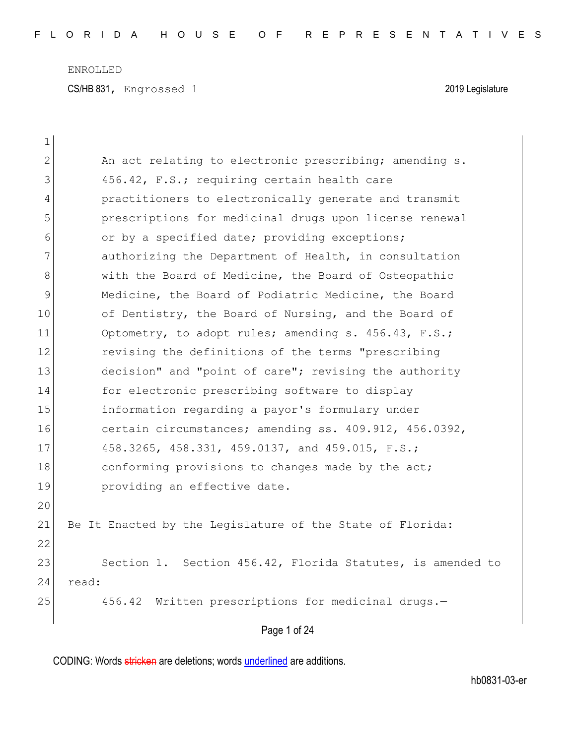CS/HB 831, Engrossed 1 2019 Legislature

| $\mathbf 1$   |                                                            |
|---------------|------------------------------------------------------------|
| $\mathbf{2}$  | An act relating to electronic prescribing; amending s.     |
| 3             | 456.42, F.S.; requiring certain health care                |
| 4             | practitioners to electronically generate and transmit      |
| 5             | prescriptions for medicinal drugs upon license renewal     |
| 6             | or by a specified date; providing exceptions;              |
| 7             | authorizing the Department of Health, in consultation      |
| 8             | with the Board of Medicine, the Board of Osteopathic       |
| $\mathcal{G}$ | Medicine, the Board of Podiatric Medicine, the Board       |
| 10            | of Dentistry, the Board of Nursing, and the Board of       |
| 11            | Optometry, to adopt rules; amending s. 456.43, F.S.;       |
| 12            | revising the definitions of the terms "prescribing         |
| 13            | decision" and "point of care"; revising the authority      |
| 14            | for electronic prescribing software to display             |
| 15            | information regarding a payor's formulary under            |
| 16            | certain circumstances; amending ss. 409.912, 456.0392,     |
| 17            | 458.3265, 458.331, 459.0137, and 459.015, F.S.;            |
| 18            | conforming provisions to changes made by the act;          |
| 19            | providing an effective date.                               |
| 20            |                                                            |
| 21            | Be It Enacted by the Legislature of the State of Florida:  |
| 22            |                                                            |
| 23            | Section 1. Section 456.42, Florida Statutes, is amended to |
| 24            | read:                                                      |
| 25            | 456.42 Written prescriptions for medicinal drugs.-         |
|               | Page 1 of 24                                               |
|               |                                                            |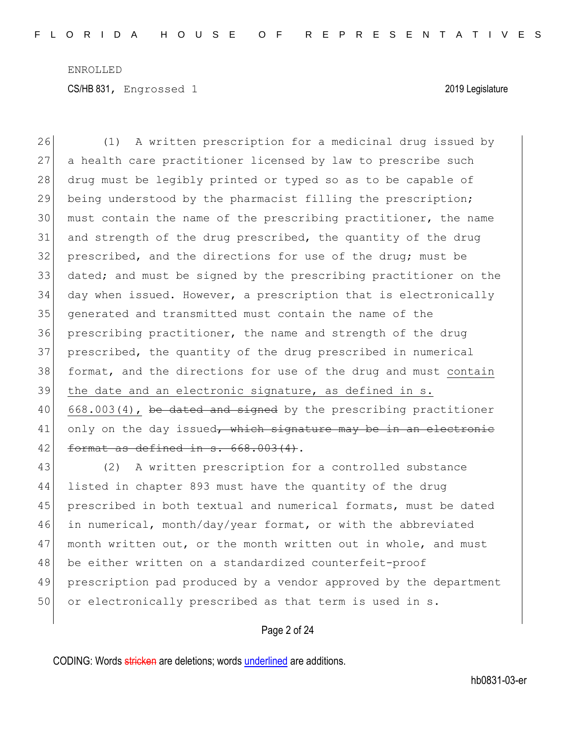(1) A written prescription for a medicinal drug issued by a health care practitioner licensed by law to prescribe such 28 drug must be legibly printed or typed so as to be capable of being understood by the pharmacist filling the prescription; must contain the name of the prescribing practitioner, the name 31 and strength of the drug prescribed, the quantity of the drug 32 prescribed, and the directions for use of the drug; must be 33 dated; and must be signed by the prescribing practitioner on the day when issued. However, a prescription that is electronically generated and transmitted must contain the name of the prescribing practitioner, the name and strength of the drug prescribed, the quantity of the drug prescribed in numerical format, and the directions for use of the drug and must contain the date and an electronic signature, as defined in s.  $\begin{bmatrix} 668.003(4) \\ 668.003(4) \end{bmatrix}$ , be dated and signed by the prescribing practitioner only on the day issued, which signature may be in an electronic 42 format as defined in  $s. 668.003(4)$ .

43 (2) A written prescription for a controlled substance 44 listed in chapter 893 must have the quantity of the drug 45 prescribed in both textual and numerical formats, must be dated 46 in numerical, month/day/year format, or with the abbreviated 47 month written out, or the month written out in whole, and must 48 be either written on a standardized counterfeit-proof 49 prescription pad produced by a vendor approved by the department 50 or electronically prescribed as that term is used in s.

#### Page 2 of 24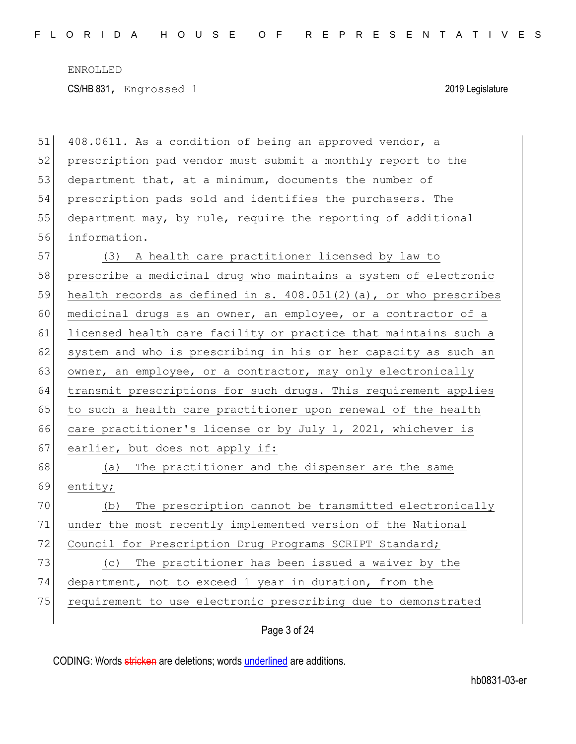| 51 | 408.0611. As a condition of being an approved vendor, a             |
|----|---------------------------------------------------------------------|
| 52 | prescription pad vendor must submit a monthly report to the         |
| 53 | department that, at a minimum, documents the number of              |
| 54 | prescription pads sold and identifies the purchasers. The           |
| 55 | department may, by rule, require the reporting of additional        |
| 56 | information.                                                        |
| 57 | (3) A health care practitioner licensed by law to                   |
| 58 | prescribe a medicinal drug who maintains a system of electronic     |
| 59 | health records as defined in s. $408.051(2)$ (a), or who prescribes |
| 60 | medicinal drugs as an owner, an employee, or a contractor of a      |
| 61 | licensed health care facility or practice that maintains such a     |
| 62 | system and who is prescribing in his or her capacity as such an     |
| 63 | owner, an employee, or a contractor, may only electronically        |
| 64 | transmit prescriptions for such drugs. This requirement applies     |
| 65 | to such a health care practitioner upon renewal of the health       |
| 66 | care practitioner's license or by July 1, 2021, whichever is        |
| 67 | earlier, but does not apply if:                                     |
| 68 | The practitioner and the dispenser are the same<br>(a)              |
| 69 | entity;                                                             |
| 70 | The prescription cannot be transmitted electronically<br>(b)        |
| 71 | under the most recently implemented version of the National         |
| 72 | Council for Prescription Drug Programs SCRIPT Standard;             |
| 73 | The practitioner has been issued a waiver by the<br>(C)             |
| 74 | department, not to exceed 1 year in duration, from the              |
| 75 | requirement to use electronic prescribing due to demonstrated       |
|    |                                                                     |

Page 3 of 24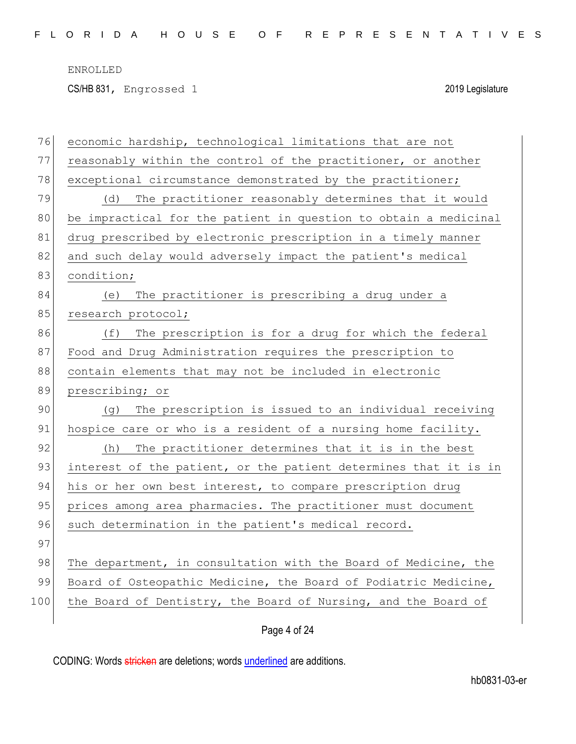CS/HB 831, Engrossed 1 2019 Legislature

| 76  | economic hardship, technological limitations that are not        |
|-----|------------------------------------------------------------------|
| 77  | reasonably within the control of the practitioner, or another    |
| 78  | exceptional circumstance demonstrated by the practitioner;       |
| 79  | The practitioner reasonably determines that it would<br>(d)      |
| 80  | be impractical for the patient in question to obtain a medicinal |
| 81  | drug prescribed by electronic prescription in a timely manner    |
| 82  | and such delay would adversely impact the patient's medical      |
| 83  | condition;                                                       |
| 84  | The practitioner is prescribing a drug under a<br>(e)            |
| 85  | research protocol;                                               |
| 86  | The prescription is for a drug for which the federal<br>(f)      |
| 87  | Food and Drug Administration requires the prescription to        |
| 88  | contain elements that may not be included in electronic          |
| 89  | prescribing; or                                                  |
| 90  | The prescription is issued to an individual receiving<br>(g)     |
| 91  | hospice care or who is a resident of a nursing home facility.    |
| 92  | The practitioner determines that it is in the best<br>(h)        |
| 93  | interest of the patient, or the patient determines that it is in |
| 94  | his or her own best interest, to compare prescription drug       |
| 95  | prices among area pharmacies. The practitioner must document     |
| 96  | such determination in the patient's medical record.              |
| 97  |                                                                  |
| 98  | The department, in consultation with the Board of Medicine, the  |
| 99  | Board of Osteopathic Medicine, the Board of Podiatric Medicine,  |
| 100 | the Board of Dentistry, the Board of Nursing, and the Board of   |
|     |                                                                  |

Page 4 of 24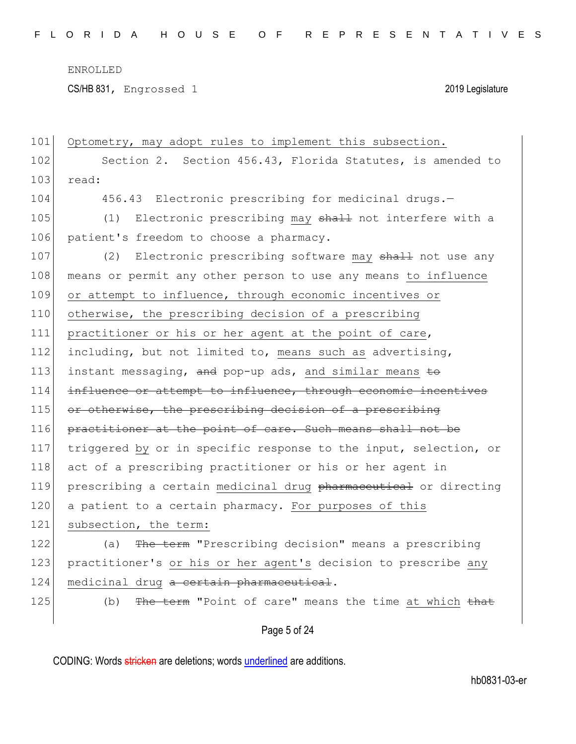CS/HB 831, Engrossed 1 2019 Legislature

| 101 | Optometry, may adopt rules to implement this subsection.         |
|-----|------------------------------------------------------------------|
| 102 | Section 2. Section 456.43, Florida Statutes, is amended to       |
| 103 | read:                                                            |
| 104 | 456.43 Electronic prescribing for medicinal drugs.-              |
| 105 | Electronic prescribing may shall not interfere with a<br>(1)     |
| 106 | patient's freedom to choose a pharmacy.                          |
| 107 | Electronic prescribing software may shall not use any<br>(2)     |
| 108 | means or permit any other person to use any means to influence   |
| 109 | or attempt to influence, through economic incentives or          |
| 110 | otherwise, the prescribing decision of a prescribing             |
| 111 | practitioner or his or her agent at the point of care,           |
| 112 | including, but not limited to, means such as advertising,        |
| 113 | instant messaging, and pop-up ads, and similar means to          |
| 114 | influence or attempt to influence, through economic incentives   |
| 115 | or otherwise, the prescribing decision of a prescribing          |
| 116 | practitioner at the point of care. Such means shall not be       |
| 117 | triggered by or in specific response to the input, selection, or |
| 118 | act of a prescribing practitioner or his or her agent in         |
| 119 | prescribing a certain medicinal drug pharmaceutical or directing |
| 120 | a patient to a certain pharmacy. For purposes of this            |
| 121 | subsection, the term:                                            |
| 122 | The term "Prescribing decision" means a prescribing<br>(a)       |
| 123 | practitioner's or his or her agent's decision to prescribe any   |
| 124 | medicinal drug a certain pharmaceutical.                         |
| 125 | The term "Point of care" means the time at which that<br>(b)     |
|     | Page 5 of 24                                                     |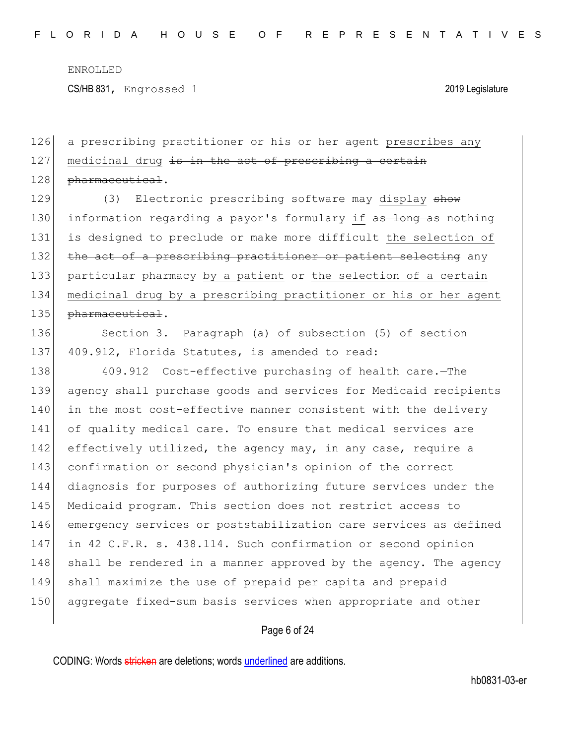CS/HB 831, Engrossed 1 2019 Legislature

126 a prescribing practitioner or his or her agent prescribes any  $127$  medicinal drug is in the act of prescribing a certain 128 pharmaceutical.

129 (3) Electronic prescribing software may display show 130 information regarding a payor's formulary if as long as nothing 131 is designed to preclude or make more difficult the selection of 132 the act of a prescribing practitioner or patient selecting any 133 particular pharmacy by a patient or the selection of a certain 134 medicinal drug by a prescribing practitioner or his or her agent 135 pharmaceutical.

136 Section 3. Paragraph (a) of subsection (5) of section 137 409.912, Florida Statutes, is amended to read:

138 409.912 Cost-effective purchasing of health care.—The 139 agency shall purchase goods and services for Medicaid recipients 140 in the most cost-effective manner consistent with the delivery 141 of quality medical care. To ensure that medical services are 142 effectively utilized, the agency may, in any case, require a 143 confirmation or second physician's opinion of the correct 144 diagnosis for purposes of authorizing future services under the 145 Medicaid program. This section does not restrict access to 146 emergency services or poststabilization care services as defined 147 in 42 C.F.R. s. 438.114. Such confirmation or second opinion 148 shall be rendered in a manner approved by the agency. The agency 149 shall maximize the use of prepaid per capita and prepaid 150 aggregate fixed-sum basis services when appropriate and other

Page 6 of 24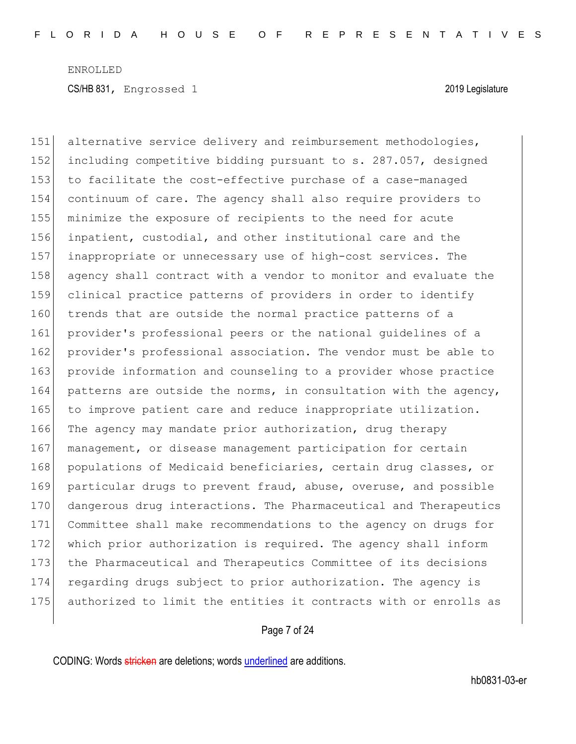151 alternative service delivery and reimbursement methodologies, 152 including competitive bidding pursuant to s. 287.057, designed 153 to facilitate the cost-effective purchase of a case-managed 154 continuum of care. The agency shall also require providers to 155 minimize the exposure of recipients to the need for acute 156 inpatient, custodial, and other institutional care and the 157 inappropriate or unnecessary use of high-cost services. The 158 agency shall contract with a vendor to monitor and evaluate the 159 clinical practice patterns of providers in order to identify 160 trends that are outside the normal practice patterns of a 161 provider's professional peers or the national guidelines of a 162 provider's professional association. The vendor must be able to 163 provide information and counseling to a provider whose practice 164 patterns are outside the norms, in consultation with the agency, 165 to improve patient care and reduce inappropriate utilization. 166 The agency may mandate prior authorization, drug therapy 167 management, or disease management participation for certain 168 populations of Medicaid beneficiaries, certain drug classes, or 169 particular drugs to prevent fraud, abuse, overuse, and possible 170 dangerous drug interactions. The Pharmaceutical and Therapeutics 171 Committee shall make recommendations to the agency on drugs for 172 which prior authorization is required. The agency shall inform 173 the Pharmaceutical and Therapeutics Committee of its decisions 174 regarding drugs subject to prior authorization. The agency is 175 authorized to limit the entities it contracts with or enrolls as

## Page 7 of 24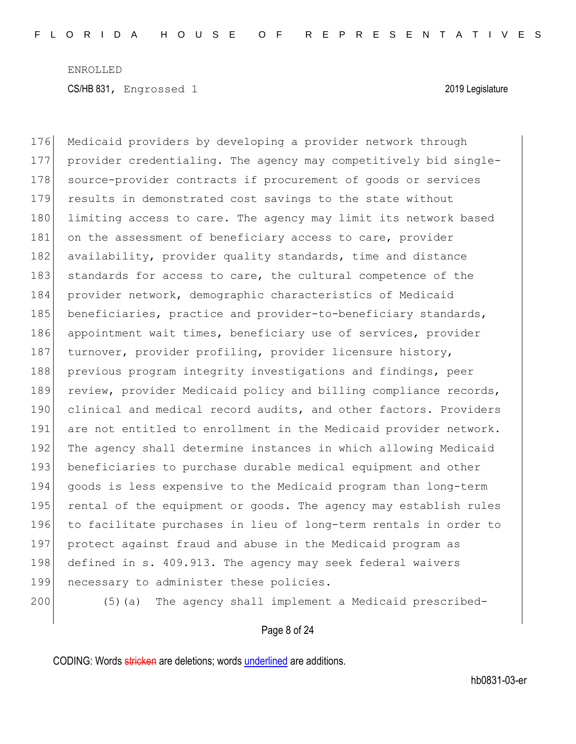176 Medicaid providers by developing a provider network through 177 provider credentialing. The agency may competitively bid single-178 source-provider contracts if procurement of goods or services 179 results in demonstrated cost savings to the state without 180 limiting access to care. The agency may limit its network based 181 on the assessment of beneficiary access to care, provider 182 availability, provider quality standards, time and distance 183 standards for access to care, the cultural competence of the 184 provider network, demographic characteristics of Medicaid 185 beneficiaries, practice and provider-to-beneficiary standards, 186 appointment wait times, beneficiary use of services, provider 187 turnover, provider profiling, provider licensure history, 188 previous program integrity investigations and findings, peer 189 review, provider Medicaid policy and billing compliance records, 190 clinical and medical record audits, and other factors. Providers 191 are not entitled to enrollment in the Medicaid provider network. 192 The agency shall determine instances in which allowing Medicaid 193 beneficiaries to purchase durable medical equipment and other 194 goods is less expensive to the Medicaid program than long-term 195 rental of the equipment or goods. The agency may establish rules 196 to facilitate purchases in lieu of long-term rentals in order to 197 protect against fraud and abuse in the Medicaid program as 198 defined in s. 409.913. The agency may seek federal waivers 199 necessary to administer these policies.

200 (5)(a) The agency shall implement a Medicaid prescribed-

Page 8 of 24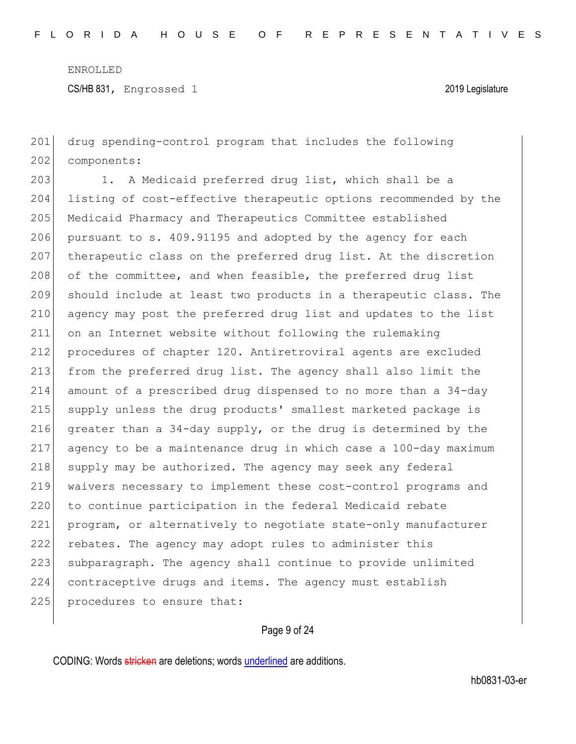CS/HB 831, Engrossed 1 2019 Legislature

201 drug spending-control program that includes the following 202 components:

203 1. A Medicaid preferred drug list, which shall be a listing of cost-effective therapeutic options recommended by the Medicaid Pharmacy and Therapeutics Committee established 206 pursuant to s. 409.91195 and adopted by the agency for each therapeutic class on the preferred drug list. At the discretion 208 of the committee, and when feasible, the preferred drug list should include at least two products in a therapeutic class. The agency may post the preferred drug list and updates to the list on an Internet website without following the rulemaking procedures of chapter 120. Antiretroviral agents are excluded from the preferred drug list. The agency shall also limit the amount of a prescribed drug dispensed to no more than a 34-day supply unless the drug products' smallest marketed package is greater than a 34-day supply, or the drug is determined by the agency to be a maintenance drug in which case a 100-day maximum 218 supply may be authorized. The agency may seek any federal waivers necessary to implement these cost-control programs and 220 to continue participation in the federal Medicaid rebate program, or alternatively to negotiate state-only manufacturer rebates. The agency may adopt rules to administer this 223 subparagraph. The agency shall continue to provide unlimited contraceptive drugs and items. The agency must establish 225 procedures to ensure that:

# Page 9 of 24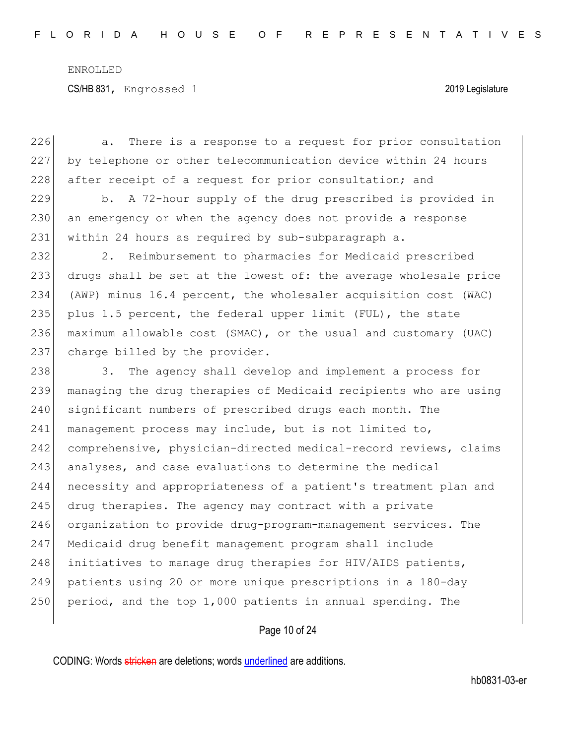226 a. There is a response to a request for prior consultation

ENROLLED CS/HB 831, Engrossed 1 2019 Legislature

227 by telephone or other telecommunication device within 24 hours 228 after receipt of a request for prior consultation; and 229 b. A 72-hour supply of the drug prescribed is provided in 230 an emergency or when the agency does not provide a response 231 | within 24 hours as required by sub-subparagraph a. 232 2. Reimbursement to pharmacies for Medicaid prescribed 233 drugs shall be set at the lowest of: the average wholesale price 234 (AWP) minus 16.4 percent, the wholesaler acquisition cost (WAC) 235 plus 1.5 percent, the federal upper limit (FUL), the state 236 maximum allowable cost (SMAC), or the usual and customary (UAC) 237 charge billed by the provider. 238 3. The agency shall develop and implement a process for 239 managing the drug therapies of Medicaid recipients who are using 240 significant numbers of prescribed drugs each month. The 241 | management process may include, but is not limited to, 242 comprehensive, physician-directed medical-record reviews, claims 243 analyses, and case evaluations to determine the medical 244 necessity and appropriateness of a patient's treatment plan and 245 drug therapies. The agency may contract with a private 246 organization to provide drug-program-management services. The 247 Medicaid drug benefit management program shall include 248 initiatives to manage drug therapies for HIV/AIDS patients, 249 patients using 20 or more unique prescriptions in a 180-day

250 period, and the top  $1,000$  patients in annual spending. The

Page 10 of 24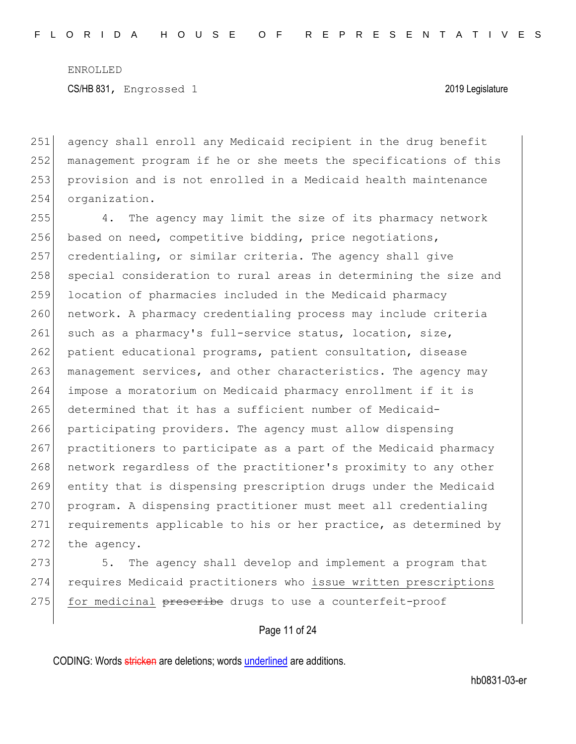agency shall enroll any Medicaid recipient in the drug benefit management program if he or she meets the specifications of this provision and is not enrolled in a Medicaid health maintenance 254 organization.

255 4. The agency may limit the size of its pharmacy network 256 based on need, competitive bidding, price negotiations, 257 credentialing, or similar criteria. The agency shall give 258 special consideration to rural areas in determining the size and 259 location of pharmacies included in the Medicaid pharmacy 260 network. A pharmacy credentialing process may include criteria 261 such as a pharmacy's full-service status, location, size, 262 patient educational programs, patient consultation, disease 263 management services, and other characteristics. The agency may 264 impose a moratorium on Medicaid pharmacy enrollment if it is 265 determined that it has a sufficient number of Medicaid-266 participating providers. The agency must allow dispensing 267 practitioners to participate as a part of the Medicaid pharmacy 268 network regardless of the practitioner's proximity to any other 269 entity that is dispensing prescription drugs under the Medicaid 270 program. A dispensing practitioner must meet all credentialing 271 requirements applicable to his or her practice, as determined by  $272$  the agency.

273 5. The agency shall develop and implement a program that 274 requires Medicaid practitioners who issue written prescriptions 275 for medicinal preseribe drugs to use a counterfeit-proof

## Page 11 of 24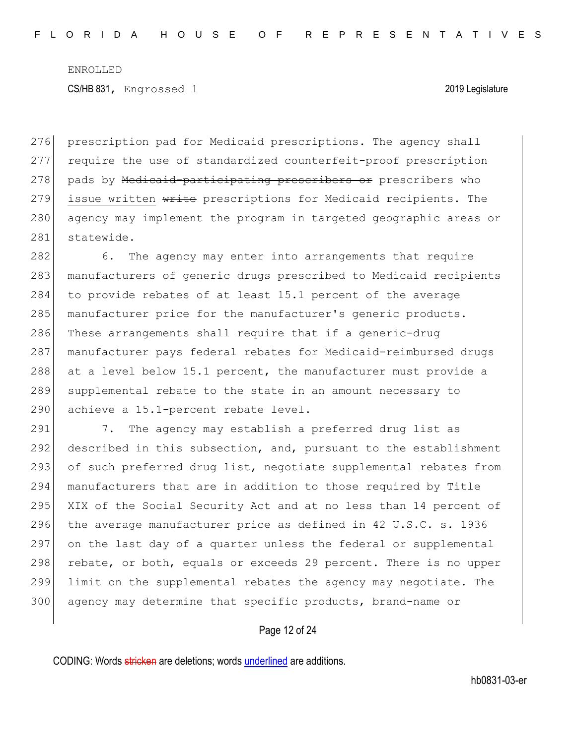276 prescription pad for Medicaid prescriptions. The agency shall 277 require the use of standardized counterfeit-proof prescription 278 pads by Medicaid-participating prescribers or prescribers who 279 issue written write prescriptions for Medicaid recipients. The 280 agency may implement the program in targeted geographic areas or 281 statewide.

282 6. The agency may enter into arrangements that require 283 manufacturers of generic drugs prescribed to Medicaid recipients 284 to provide rebates of at least 15.1 percent of the average 285 manufacturer price for the manufacturer's generic products. 286 These arrangements shall require that if a generic-drug 287 manufacturer pays federal rebates for Medicaid-reimbursed drugs 288 at a level below 15.1 percent, the manufacturer must provide a 289 supplemental rebate to the state in an amount necessary to 290 achieve a 15.1-percent rebate level.

291 7. The agency may establish a preferred drug list as 292 described in this subsection, and, pursuant to the establishment 293 of such preferred drug list, negotiate supplemental rebates from 294 manufacturers that are in addition to those required by Title 295 XIX of the Social Security Act and at no less than 14 percent of 296 the average manufacturer price as defined in  $42 \text{ U.S.C. s. } 1936$ 297 on the last day of a quarter unless the federal or supplemental 298 rebate, or both, equals or exceeds 29 percent. There is no upper 299 limit on the supplemental rebates the agency may negotiate. The 300 agency may determine that specific products, brand-name or

## Page 12 of 24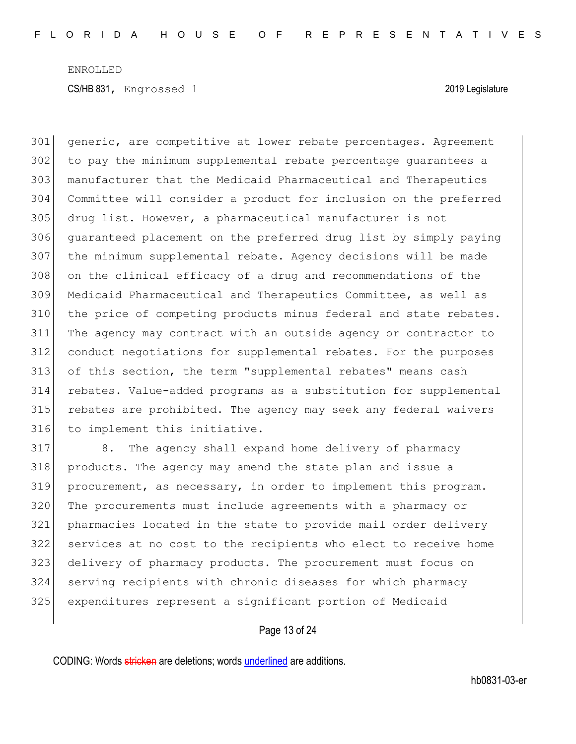generic, are competitive at lower rebate percentages. Agreement to pay the minimum supplemental rebate percentage guarantees a manufacturer that the Medicaid Pharmaceutical and Therapeutics Committee will consider a product for inclusion on the preferred drug list. However, a pharmaceutical manufacturer is not guaranteed placement on the preferred drug list by simply paying the minimum supplemental rebate. Agency decisions will be made on the clinical efficacy of a drug and recommendations of the Medicaid Pharmaceutical and Therapeutics Committee, as well as 310 the price of competing products minus federal and state rebates. The agency may contract with an outside agency or contractor to conduct negotiations for supplemental rebates. For the purposes of this section, the term "supplemental rebates" means cash rebates. Value-added programs as a substitution for supplemental rebates are prohibited. The agency may seek any federal waivers to implement this initiative.

 8. The agency shall expand home delivery of pharmacy products. The agency may amend the state plan and issue a procurement, as necessary, in order to implement this program. The procurements must include agreements with a pharmacy or pharmacies located in the state to provide mail order delivery services at no cost to the recipients who elect to receive home delivery of pharmacy products. The procurement must focus on serving recipients with chronic diseases for which pharmacy expenditures represent a significant portion of Medicaid

# Page 13 of 24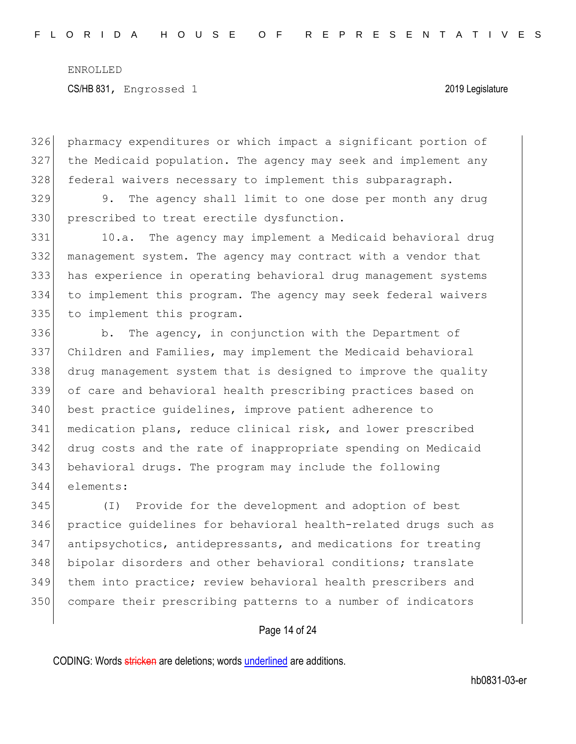CS/HB 831, Engrossed 1 2019 Legislature

326 pharmacy expenditures or which impact a significant portion of 327 the Medicaid population. The agency may seek and implement any 328 federal waivers necessary to implement this subparagraph.

329 9. The agency shall limit to one dose per month any drug 330 prescribed to treat erectile dysfunction.

331 10.a. The agency may implement a Medicaid behavioral drug 332 management system. The agency may contract with a vendor that 333 has experience in operating behavioral drug management systems 334 to implement this program. The agency may seek federal waivers 335 to implement this program.

336 b. The agency, in conjunction with the Department of Children and Families, may implement the Medicaid behavioral drug management system that is designed to improve the quality of care and behavioral health prescribing practices based on best practice guidelines, improve patient adherence to medication plans, reduce clinical risk, and lower prescribed drug costs and the rate of inappropriate spending on Medicaid behavioral drugs. The program may include the following elements:

 (I) Provide for the development and adoption of best practice guidelines for behavioral health-related drugs such as 347 antipsychotics, antidepressants, and medications for treating 348 bipolar disorders and other behavioral conditions; translate them into practice; review behavioral health prescribers and compare their prescribing patterns to a number of indicators

# Page 14 of 24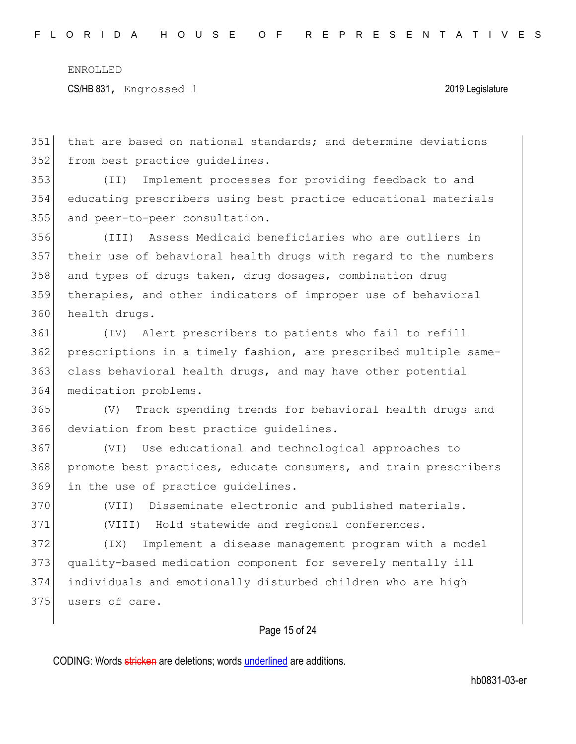CS/HB 831, Engrossed 1 2019 Legislature

 that are based on national standards; and determine deviations 352 from best practice quidelines.

 (II) Implement processes for providing feedback to and educating prescribers using best practice educational materials and peer-to-peer consultation.

 (III) Assess Medicaid beneficiaries who are outliers in their use of behavioral health drugs with regard to the numbers 358 and types of drugs taken, drug dosages, combination drug therapies, and other indicators of improper use of behavioral health drugs.

 (IV) Alert prescribers to patients who fail to refill prescriptions in a timely fashion, are prescribed multiple same- class behavioral health drugs, and may have other potential medication problems.

 (V) Track spending trends for behavioral health drugs and deviation from best practice guidelines.

 (VI) Use educational and technological approaches to promote best practices, educate consumers, and train prescribers in the use of practice guidelines.

(VII) Disseminate electronic and published materials.

(VIII) Hold statewide and regional conferences.

 (IX) Implement a disease management program with a model quality-based medication component for severely mentally ill individuals and emotionally disturbed children who are high users of care.

# Page 15 of 24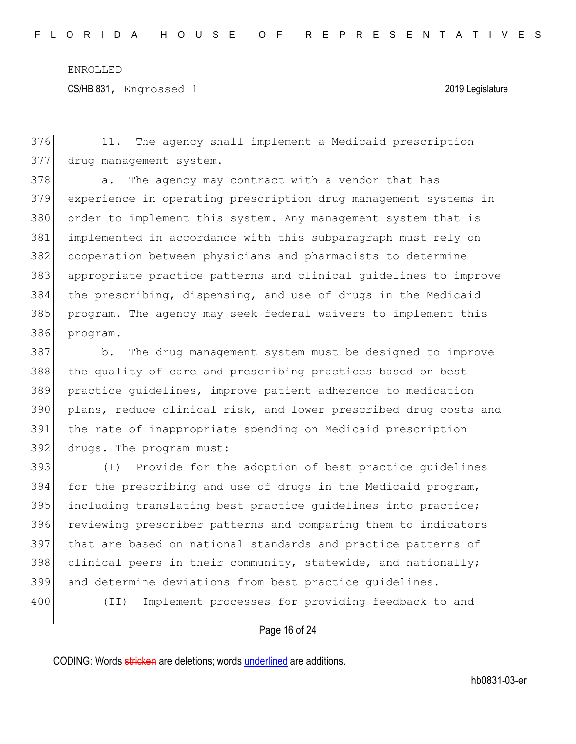CS/HB 831, Engrossed 1 2019 Legislature

376 11. The agency shall implement a Medicaid prescription 377 drug management system.

378 a. The agency may contract with a vendor that has experience in operating prescription drug management systems in 380 order to implement this system. Any management system that is implemented in accordance with this subparagraph must rely on cooperation between physicians and pharmacists to determine appropriate practice patterns and clinical guidelines to improve the prescribing, dispensing, and use of drugs in the Medicaid program. The agency may seek federal waivers to implement this 386 program.

387 b. The drug management system must be designed to improve 388 the quality of care and prescribing practices based on best 389 practice guidelines, improve patient adherence to medication 390 plans, reduce clinical risk, and lower prescribed drug costs and 391 the rate of inappropriate spending on Medicaid prescription 392 drugs. The program must:

393 (I) Provide for the adoption of best practice guidelines 394 for the prescribing and use of drugs in the Medicaid program, 395 including translating best practice quidelines into practice; 396 reviewing prescriber patterns and comparing them to indicators 397 that are based on national standards and practice patterns of 398 clinical peers in their community, statewide, and nationally; 399 and determine deviations from best practice guidelines.

400 (II) Implement processes for providing feedback to and

## Page 16 of 24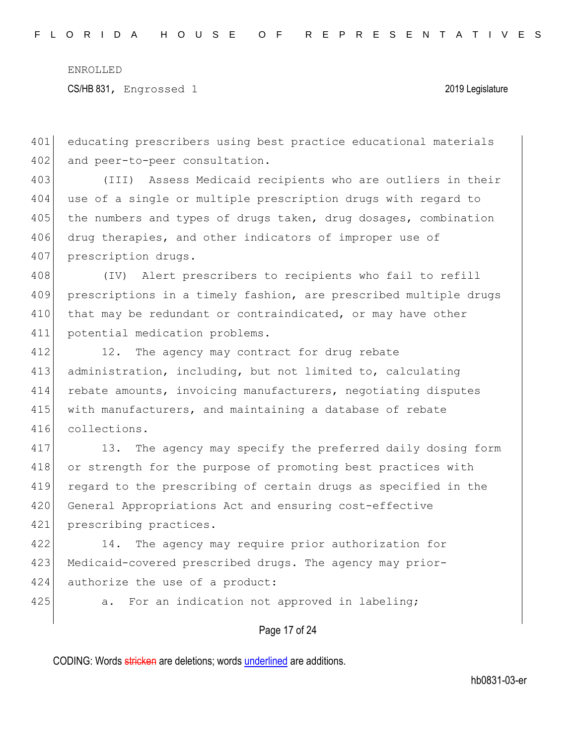CS/HB 831, Engrossed 1 2019 Legislature

401 educating prescribers using best practice educational materials 402 and peer-to-peer consultation.

403 (III) Assess Medicaid recipients who are outliers in their 404 use of a single or multiple prescription drugs with regard to 405 the numbers and types of drugs taken, drug dosages, combination 406 drug therapies, and other indicators of improper use of 407 prescription drugs.

 (IV) Alert prescribers to recipients who fail to refill prescriptions in a timely fashion, are prescribed multiple drugs 410 that may be redundant or contraindicated, or may have other potential medication problems.

412 12. The agency may contract for drug rebate 413 administration, including, but not limited to, calculating 414 rebate amounts, invoicing manufacturers, negotiating disputes 415 with manufacturers, and maintaining a database of rebate 416 collections.

417 13. The agency may specify the preferred daily dosing form 418 or strength for the purpose of promoting best practices with 419 regard to the prescribing of certain drugs as specified in the 420 General Appropriations Act and ensuring cost-effective 421 prescribing practices.

422 14. The agency may require prior authorization for 423 Medicaid-covered prescribed drugs. The agency may prior-424 authorize the use of a product:

425 a. For an indication not approved in labeling;

## Page 17 of 24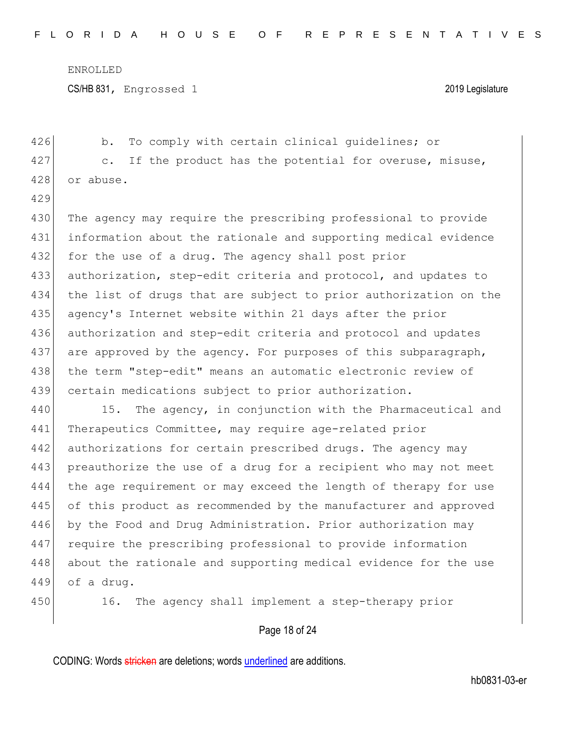CS/HB 831, Engrossed 1 2019 Legislature

426 b. To comply with certain clinical guidelines; or 427 c. If the product has the potential for overuse, misuse, 428 or abuse. 429 430 The agency may require the prescribing professional to provide 431 information about the rationale and supporting medical evidence 432 for the use of a drug. The agency shall post prior 433 authorization, step-edit criteria and protocol, and updates to 434 the list of drugs that are subject to prior authorization on the 435 agency's Internet website within 21 days after the prior 436 authorization and step-edit criteria and protocol and updates 437 are approved by the agency. For purposes of this subparagraph, 438 the term "step-edit" means an automatic electronic review of 439 certain medications subject to prior authorization. 440 15. The agency, in conjunction with the Pharmaceutical and 441 Therapeutics Committee, may require age-related prior 442 authorizations for certain prescribed drugs. The agency may 443 preauthorize the use of a drug for a recipient who may not meet 444 the age requirement or may exceed the length of therapy for use 445 of this product as recommended by the manufacturer and approved 446 by the Food and Drug Administration. Prior authorization may 447 require the prescribing professional to provide information 448 about the rationale and supporting medical evidence for the use 449 of a drug. 450 16. The agency shall implement a step-therapy prior

Page 18 of 24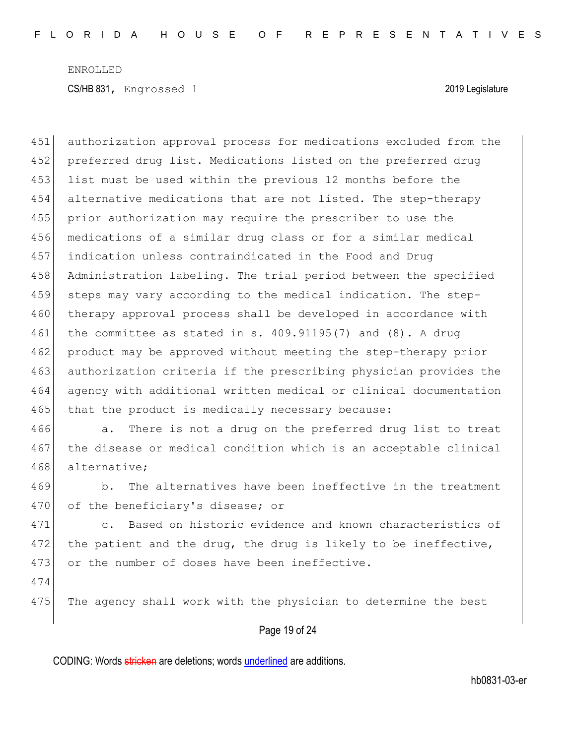451 authorization approval process for medications excluded from the 452 preferred drug list. Medications listed on the preferred drug 453 list must be used within the previous 12 months before the 454 alternative medications that are not listed. The step-therapy 455 prior authorization may require the prescriber to use the 456 medications of a similar drug class or for a similar medical 457 indication unless contraindicated in the Food and Drug 458 Administration labeling. The trial period between the specified 459 steps may vary according to the medical indication. The step-460 therapy approval process shall be developed in accordance with 461 the committee as stated in s. 409.91195(7) and (8). A drug 462 product may be approved without meeting the step-therapy prior 463 authorization criteria if the prescribing physician provides the 464 agency with additional written medical or clinical documentation 465 that the product is medically necessary because:

466 a. There is not a drug on the preferred drug list to treat 467 the disease or medical condition which is an acceptable clinical 468 alternative:

469 b. The alternatives have been ineffective in the treatment 470 of the beneficiary's disease; or

471 c. Based on historic evidence and known characteristics of 472 the patient and the drug, the drug is likely to be ineffective, 473 or the number of doses have been ineffective.

474

475 The agency shall work with the physician to determine the best

## Page 19 of 24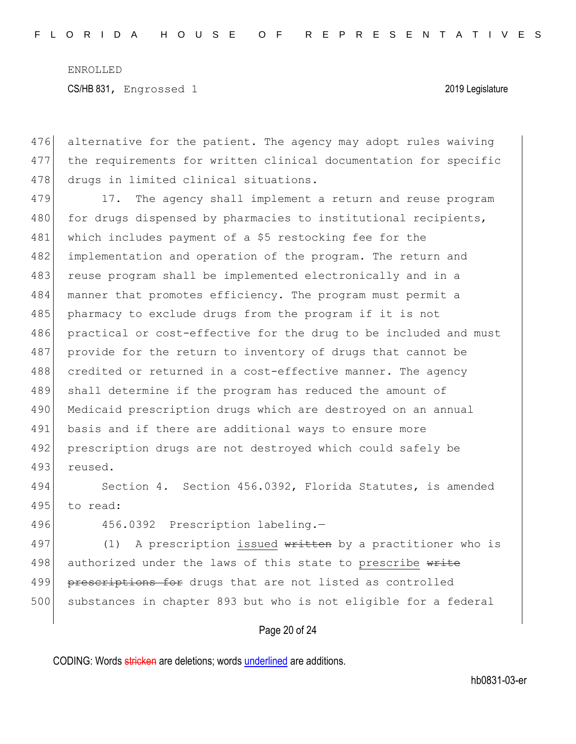476 alternative for the patient. The agency may adopt rules waiving 477 the requirements for written clinical documentation for specific 478 drugs in limited clinical situations.

479 17. The agency shall implement a return and reuse program 480 for drugs dispensed by pharmacies to institutional recipients, 481 which includes payment of a \$5 restocking fee for the 482 implementation and operation of the program. The return and 483 reuse program shall be implemented electronically and in a 484 manner that promotes efficiency. The program must permit a 485 pharmacy to exclude drugs from the program if it is not 486 practical or cost-effective for the drug to be included and must 487 provide for the return to inventory of drugs that cannot be 488 credited or returned in a cost-effective manner. The agency 489 shall determine if the program has reduced the amount of 490 Medicaid prescription drugs which are destroyed on an annual 491 basis and if there are additional ways to ensure more 492 prescription drugs are not destroyed which could safely be 493 reused.

494 Section 4. Section 456.0392, Florida Statutes, is amended 495 to read:

496 456.0392 Prescription labeling.-

497 (1) A prescription issued written by a practitioner who is 498 authorized under the laws of this state to prescribe write 499 prescriptions for drugs that are not listed as controlled 500 substances in chapter 893 but who is not eligible for a federal

# Page 20 of 24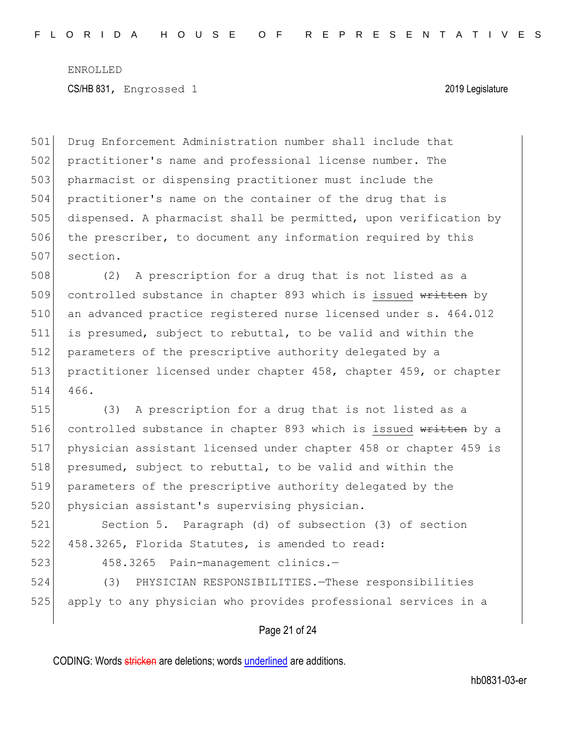Drug Enforcement Administration number shall include that practitioner's name and professional license number. The pharmacist or dispensing practitioner must include the practitioner's name on the container of the drug that is dispensed. A pharmacist shall be permitted, upon verification by 506 the prescriber, to document any information required by this 507 section.

508 (2) A prescription for a drug that is not listed as a 509 controlled substance in chapter 893 which is issued written by 510 an advanced practice registered nurse licensed under s. 464.012 511 is presumed, subject to rebuttal, to be valid and within the 512 parameters of the prescriptive authority delegated by a 513 practitioner licensed under chapter 458, chapter 459, or chapter 514 466.

515 (3) A prescription for a drug that is not listed as a 516 controlled substance in chapter 893 which is issued written by a 517 physician assistant licensed under chapter 458 or chapter 459 is 518 presumed, subject to rebuttal, to be valid and within the 519 parameters of the prescriptive authority delegated by the 520 physician assistant's supervising physician.

521 Section 5. Paragraph (d) of subsection (3) of section 522 458.3265, Florida Statutes, is amended to read:

523 458.3265 Pain-management clinics.—

524 (3) PHYSICIAN RESPONSIBILITIES.—These responsibilities 525 apply to any physician who provides professional services in a

## Page 21 of 24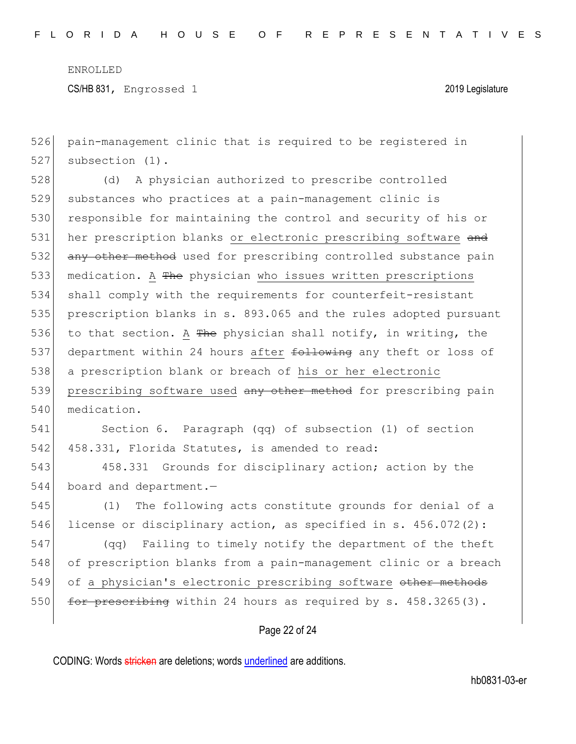CS/HB 831, Engrossed 1 2019 Legislature

526 pain-management clinic that is required to be registered in 527 subsection (1).

528 (d) A physician authorized to prescribe controlled 529 substances who practices at a pain-management clinic is 530 responsible for maintaining the control and security of his or 531 her prescription blanks or electronic prescribing software and 532 any other method used for prescribing controlled substance pain 533 medication. A The physician who issues written prescriptions 534 shall comply with the requirements for counterfeit-resistant 535 prescription blanks in s. 893.065 and the rules adopted pursuant 536 to that section. A  $f{F}$ he physician shall notify, in writing, the 537 department within 24 hours after following any theft or loss of 538 a prescription blank or breach of his or her electronic 539 prescribing software used any other method for prescribing pain 540 medication.

541 Section 6. Paragraph (qq) of subsection (1) of section 542 458.331, Florida Statutes, is amended to read:

543 458.331 Grounds for disciplinary action; action by the 544 board and department.—

545 (1) The following acts constitute grounds for denial of a 546 license or disciplinary action, as specified in s. 456.072(2):

 (qq) Failing to timely notify the department of the theft of prescription blanks from a pain-management clinic or a breach 549 of a physician's electronic prescribing software other methods  $\left| \right|$  for prescribing within 24 hours as required by s. 458.3265(3).

# Page 22 of 24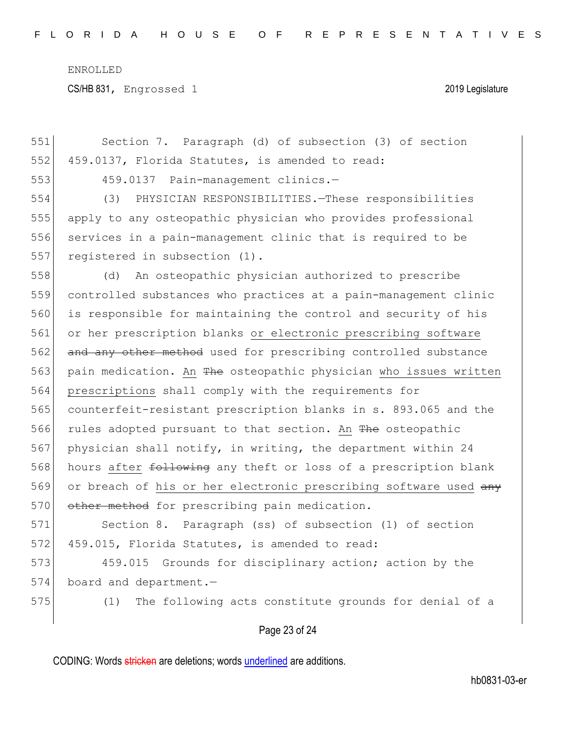CS/HB 831, Engrossed 1 2019 Legislature

| 551 | Section 7. Paragraph (d) of subsection (3) of section            |
|-----|------------------------------------------------------------------|
| 552 | 459.0137, Florida Statutes, is amended to read:                  |
| 553 | 459.0137 Pain-management clinics.-                               |
| 554 | PHYSICIAN RESPONSIBILITIES. - These responsibilities<br>(3)      |
| 555 | apply to any osteopathic physician who provides professional     |
| 556 | services in a pain-management clinic that is required to be      |
| 557 | registered in subsection (1).                                    |
| 558 | An osteopathic physician authorized to prescribe<br>(d)          |
| 559 | controlled substances who practices at a pain-management clinic  |
| 560 | is responsible for maintaining the control and security of his   |
| 561 | or her prescription blanks or electronic prescribing software    |
| 562 | and any other method used for prescribing controlled substance   |
| 563 | pain medication. An The osteopathic physician who issues written |
| 564 | prescriptions shall comply with the requirements for             |
| 565 | counterfeit-resistant prescription blanks in s. 893.065 and the  |
| 566 | rules adopted pursuant to that section. An The osteopathic       |
| 567 | physician shall notify, in writing, the department within 24     |
| 568 | hours after following any theft or loss of a prescription blank  |
| 569 | or breach of his or her electronic prescribing software used any |
| 570 | other method for prescribing pain medication.                    |
| 571 | Section 8. Paragraph (ss) of subsection (1) of section           |
| 572 | 459.015, Florida Statutes, is amended to read:                   |
| 573 | 459.015 Grounds for disciplinary action; action by the           |
| 574 | board and department.-                                           |
| 575 | The following acts constitute grounds for denial of a<br>(1)     |
|     |                                                                  |

Page 23 of 24